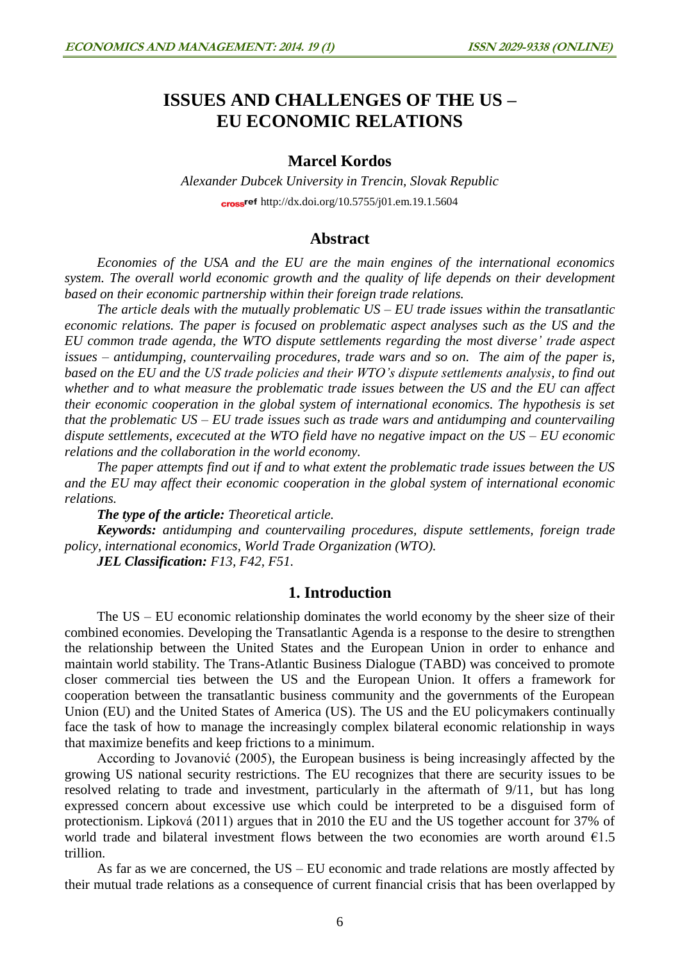# **ISSUES AND CHALLENGES OF THE US – EU ECONOMIC RELATIONS**

# **Marcel Kordos**

*Alexander Dubcek University in Trencin, Slovak Republic* crossref <http://dx.doi.org/10.5755/j01.em.19.1.5604>

#### **Abstract**

*Economies of the USA and the EU are the main engines of the international economics system. The overall world economic growth and the quality of life depends on their development based on their economic partnership within their foreign trade relations.* 

*The article deals with the mutually problematic US – EU trade issues within the transatlantic economic relations. The paper is focused on problematic aspect analyses such as the US and the EU common trade agenda, the WTO dispute settlements regarding the most diverse' trade aspect issues – antidumping, countervailing procedures, trade wars and so on. The aim of the paper is, based on the EU and the US trade policies and their WTO's dispute settlements analysis, to find out whether and to what measure the problematic trade issues between the US and the EU can affect their economic cooperation in the global system of international economics. The hypothesis is set that the problematic US – EU trade issues such as trade wars and antidumping and countervailing dispute settlements, excecuted at the WTO field have no negative impact on the US – EU economic relations and the collaboration in the world economy.*

*The paper attempts find out if and to what extent the problematic trade issues between the US and the EU may affect their economic cooperation in the global system of international economic relations.*

*The type of the article: Theoretical article.*

*Keywords: antidumping and countervailing procedures, dispute settlements, foreign trade policy, international economics, World Trade Organization (WTO).*

*JEL Classification: F13, F42, F51.*

## **1. Introduction**

The US – EU economic relationship dominates the world economy by the sheer size of their combined economies. Developing the Transatlantic Agenda is a response to the desire to strengthen the relationship between the United States and the European Union in order to enhance and maintain world stability. The Trans-Atlantic Business Dialogue (TABD) was conceived to promote closer commercial ties between the US and the European Union. It offers a framework for cooperation between the transatlantic business community and the governments of the European Union (EU) and the United States of America (US). The US and the EU policymakers continually face the task of how to manage the increasingly complex bilateral economic relationship in ways that maximize benefits and keep frictions to a minimum.

According to Jovanović (2005), the European business is being increasingly affected by the growing US national security restrictions. The EU recognizes that there are security issues to be resolved relating to trade and investment, particularly in the aftermath of 9/11, but has long expressed concern about excessive use which could be interpreted to be a disguised form of protectionism. Lipková (2011) argues that in 2010 the EU and the US together account for 37% of world trade and bilateral investment flows between the two economies are worth around  $\epsilon$ 1.5 trillion.

As far as we are concerned, the US – EU economic and trade relations are mostly affected by their mutual trade relations as a consequence of current financial crisis that has been overlapped by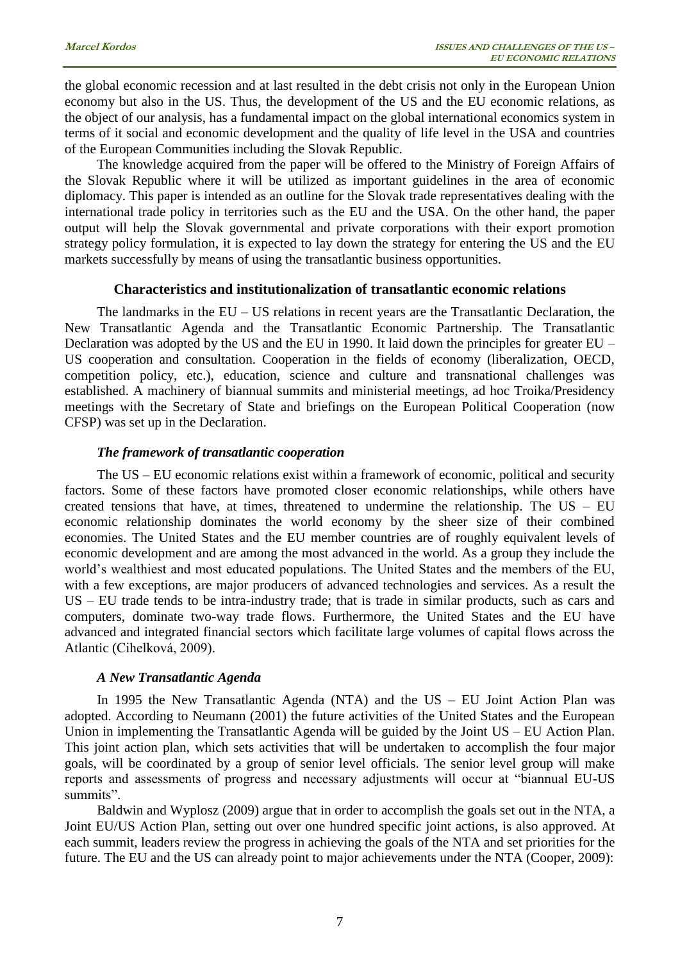the global economic recession and at last resulted in the debt crisis not only in the European Union economy but also in the US. Thus, the development of the US and the EU economic relations, as the object of our analysis, has a fundamental impact on the global international economics system in terms of it social and economic development and the quality of life level in the USA and countries of the European Communities including the Slovak Republic.

The knowledge acquired from the paper will be offered to the Ministry of Foreign Affairs of the Slovak Republic where it will be utilized as important guidelines in the area of economic diplomacy. This paper is intended as an outline for the Slovak trade representatives dealing with the international trade policy in territories such as the EU and the USA. On the other hand, the paper output will help the Slovak governmental and private corporations with their export promotion strategy policy formulation, it is expected to lay down the strategy for entering the US and the EU markets successfully by means of using the transatlantic business opportunities.

#### **Characteristics and institutionalization of transatlantic economic relations**

The landmarks in the EU – US relations in recent years are the Transatlantic Declaration, the New Transatlantic Agenda and the Transatlantic Economic Partnership. The Transatlantic Declaration was adopted by the US and the EU in 1990. It laid down the principles for greater EU – US cooperation and consultation. Cooperation in the fields of economy (liberalization, OECD, competition policy, etc.), education, science and culture and transnational challenges was established. A machinery of biannual summits and ministerial meetings, ad hoc Troika/Presidency meetings with the Secretary of State and briefings on the European Political Cooperation (now CFSP) was set up in the Declaration.

#### *The framework of transatlantic cooperation*

The US – EU economic relations exist within a framework of economic, political and security factors. Some of these factors have promoted closer economic relationships, while others have created tensions that have, at times, threatened to undermine the relationship. The US – EU economic relationship dominates the world economy by the sheer size of their combined economies. The United States and the EU member countries are of roughly equivalent levels of economic development and are among the most advanced in the world. As a group they include the world's wealthiest and most educated populations. The United States and the members of the EU, with a few exceptions, are major producers of advanced technologies and services. As a result the US – EU trade tends to be intra-industry trade; that is trade in similar products, such as cars and computers, dominate two-way trade flows. Furthermore, the United States and the EU have advanced and integrated financial sectors which facilitate large volumes of capital flows across the Atlantic (Cihelková, 2009).

#### *A New Transatlantic Agenda*

In 1995 the New Transatlantic Agenda (NTA) and the  $US - EU$  Joint Action Plan was adopted. According to Neumann (2001) the future activities of the United States and the European Union in implementing the Transatlantic Agenda will be guided by the Joint US – EU Action Plan. This joint action plan, which sets activities that will be undertaken to accomplish the four major goals, will be coordinated by a group of senior level officials. The senior level group will make reports and assessments of progress and necessary adjustments will occur at "biannual EU-US summits".

Baldwin and Wyplosz (2009) argue that in order to accomplish the goals set out in the NTA, a Joint EU/US Action Plan, setting out over one hundred specific joint actions, is also approved. At each summit, leaders review the progress in achieving the goals of the NTA and set priorities for the future. The EU and the US can already point to major achievements under the NTA (Cooper, 2009):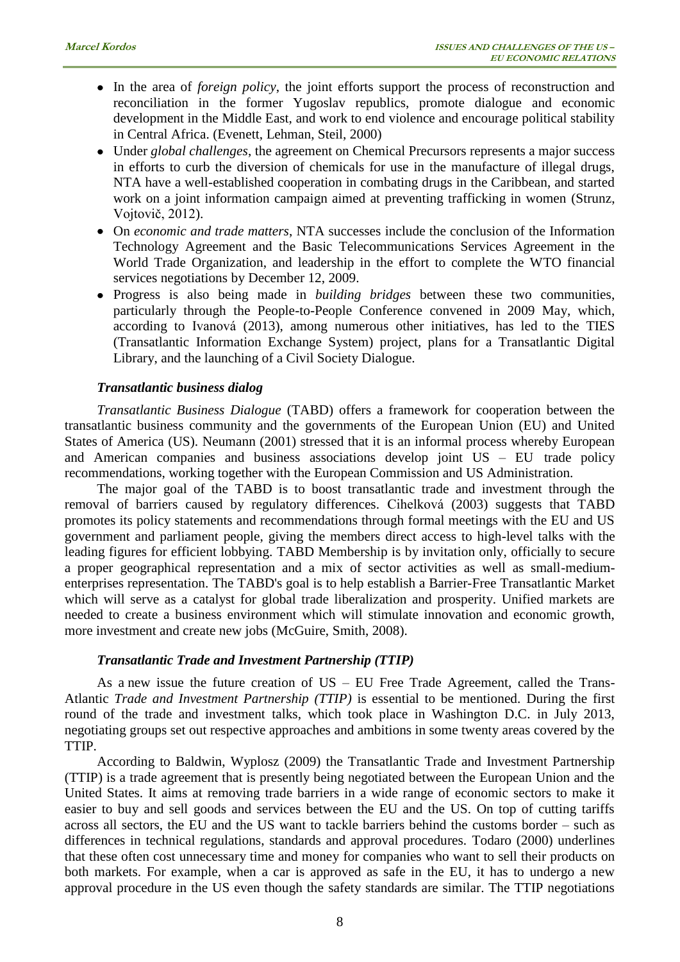- In the area of *foreign policy*, the joint efforts support the process of reconstruction and reconciliation in the former Yugoslav republics, promote dialogue and economic development in the Middle East, and work to end violence and encourage political stability in Central Africa. (Evenett, Lehman, Steil, 2000)
- Under *global challenges*, the agreement on Chemical Precursors represents a major success in efforts to curb the diversion of chemicals for use in the manufacture of illegal drugs, NTA have a well-established cooperation in combating drugs in the Caribbean, and started work on a joint information campaign aimed at preventing trafficking in women (Strunz, Vojtovič, 2012).
- On *economic and trade matters*, NTA successes include the conclusion of the Information Technology Agreement and the Basic Telecommunications Services Agreement in the World Trade Organization, and leadership in the effort to complete the WTO financial services negotiations by December 12, 2009.
- Progress is also being made in *building bridges* between these two communities, particularly through the People-to-People Conference convened in 2009 May, which, according to Ivanová (2013), among numerous other initiatives, has led to the TIES (Transatlantic Information Exchange System) project, plans for a Transatlantic Digital Library, and the launching of a Civil Society Dialogue.

#### *Transatlantic business dialog*

*Transatlantic Business Dialogue* (TABD) offers a framework for cooperation between the transatlantic business community and the governments of the European Union (EU) and United States of America (US). Neumann (2001) stressed that it is an informal process whereby European and American companies and business associations develop joint US – EU trade policy recommendations, working together with the European Commission and US Administration.

The major goal of the TABD is to boost transatlantic trade and investment through the removal of barriers caused by regulatory differences. Cihelková (2003) suggests that TABD promotes its policy statements and recommendations through formal meetings with the EU and US government and parliament people, giving the members direct access to high-level talks with the leading figures for efficient lobbying. TABD Membership is by invitation only, officially to secure a proper geographical representation and a mix of sector activities as well as small-mediumenterprises representation. The TABD's goal is to help establish a Barrier-Free Transatlantic Market which will serve as a catalyst for global trade liberalization and prosperity. Unified markets are needed to create a business environment which will stimulate innovation and economic growth, more investment and create new jobs (McGuire, Smith, 2008).

#### *Transatlantic Trade and Investment Partnership (TTIP)*

As a new issue the future creation of US – EU Free Trade Agreement, called the Trans-Atlantic *Trade and Investment Partnership (TTIP)* is essential to be mentioned. During the first round of the trade and investment talks, which took place in Washington D.C. in July 2013, negotiating groups set out respective approaches and ambitions in some twenty areas covered by the TTIP.

According to Baldwin, Wyplosz (2009) the Transatlantic Trade and Investment Partnership (TTIP) is a trade agreement that is presently being negotiated between the European Union and the United States. It aims at removing trade barriers in a wide range of economic sectors to make it easier to buy and sell goods and services between the EU and the US. On top of cutting tariffs across all sectors, the EU and the US want to tackle barriers behind the customs border – such as differences in technical regulations, standards and approval procedures. Todaro (2000) underlines that these often cost unnecessary time and money for companies who want to sell their products on both markets. For example, when a car is approved as safe in the EU, it has to undergo a new approval procedure in the US even though the safety standards are similar. The TTIP negotiations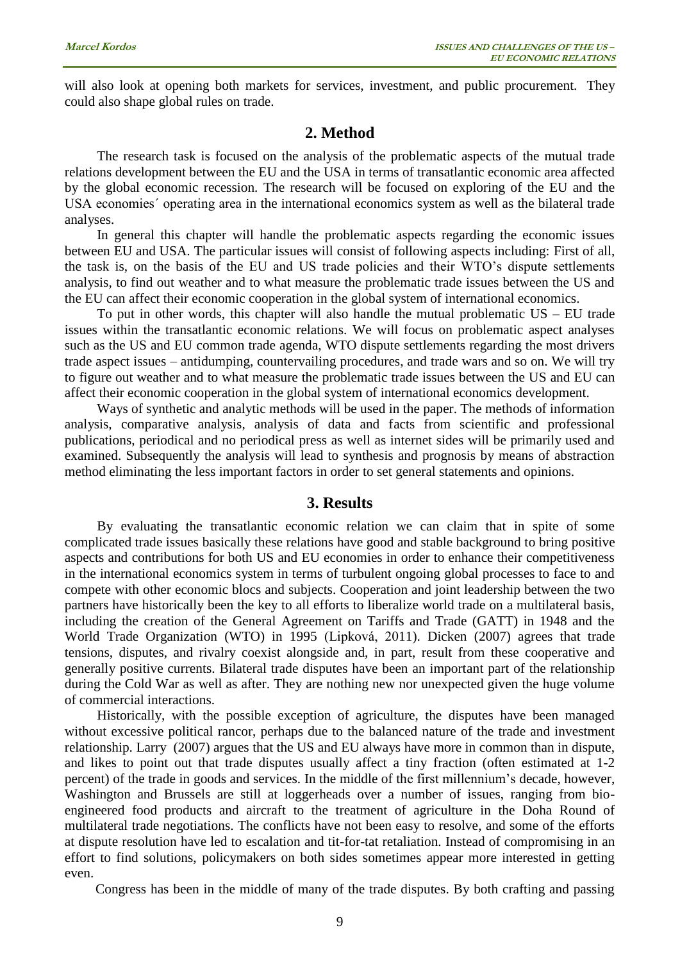will also look at opening both markets for services, investment, and public procurement. They could also shape global rules on trade.

# **2. Method**

The research task is focused on the analysis of the problematic aspects of the mutual trade relations development between the EU and the USA in terms of transatlantic economic area affected by the global economic recession. The research will be focused on exploring of the EU and the USA economies´ operating area in the international economics system as well as the bilateral trade analyses.

In general this chapter will handle the problematic aspects regarding the economic issues between EU and USA. The particular issues will consist of following aspects including: First of all, the task is, on the basis of the EU and US trade policies and their WTO's dispute settlements analysis, to find out weather and to what measure the problematic trade issues between the US and the EU can affect their economic cooperation in the global system of international economics.

To put in other words, this chapter will also handle the mutual problematic  $US - EU$  trade issues within the transatlantic economic relations. We will focus on problematic aspect analyses such as the US and EU common trade agenda, WTO dispute settlements regarding the most drivers trade aspect issues – antidumping, countervailing procedures, and trade wars and so on. We will try to figure out weather and to what measure the problematic trade issues between the US and EU can affect their economic cooperation in the global system of international economics development.

Ways of synthetic and analytic methods will be used in the paper. The methods of information analysis, comparative analysis, analysis of data and facts from scientific and professional publications, periodical and no periodical press as well as internet sides will be primarily used and examined. Subsequently the analysis will lead to synthesis and prognosis by means of abstraction method eliminating the less important factors in order to set general statements and opinions.

# **3. Results**

By evaluating the transatlantic economic relation we can claim that in spite of some complicated trade issues basically these relations have good and stable background to bring positive aspects and contributions for both US and EU economies in order to enhance their competitiveness in the international economics system in terms of turbulent ongoing global processes to face to and compete with other economic blocs and subjects. Cooperation and joint leadership between the two partners have historically been the key to all efforts to liberalize world trade on a multilateral basis, including the creation of the General Agreement on Tariffs and Trade (GATT) in 1948 and the World Trade Organization (WTO) in 1995 (Lipková, 2011). Dicken (2007) agrees that trade tensions, disputes, and rivalry coexist alongside and, in part, result from these cooperative and generally positive currents. Bilateral trade disputes have been an important part of the relationship during the Cold War as well as after. They are nothing new nor unexpected given the huge volume of commercial interactions.

Historically, with the possible exception of agriculture, the disputes have been managed without excessive political rancor, perhaps due to the balanced nature of the trade and investment relationship. Larry (2007) argues that the US and EU always have more in common than in dispute, and likes to point out that trade disputes usually affect a tiny fraction (often estimated at 1-2 percent) of the trade in goods and services. In the middle of the first millennium's decade, however, Washington and Brussels are still at loggerheads over a number of issues, ranging from bioengineered food products and aircraft to the treatment of agriculture in the Doha Round of multilateral trade negotiations. The conflicts have not been easy to resolve, and some of the efforts at dispute resolution have led to escalation and tit-for-tat retaliation. Instead of compromising in an effort to find solutions, policymakers on both sides sometimes appear more interested in getting even.

Congress has been in the middle of many of the trade disputes. By both crafting and passing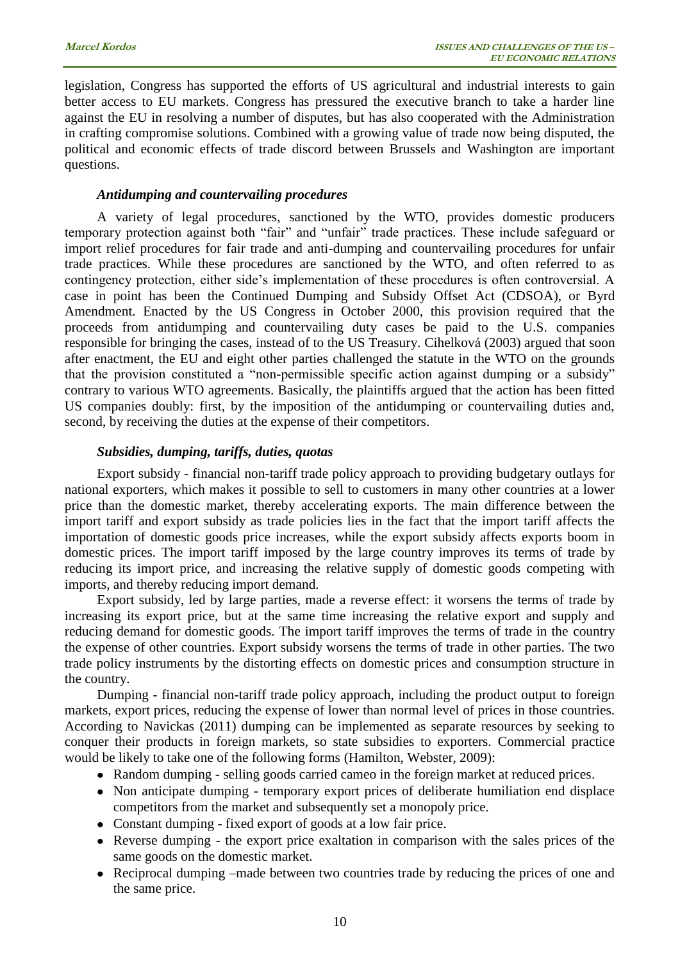legislation, Congress has supported the efforts of US agricultural and industrial interests to gain better access to EU markets. Congress has pressured the executive branch to take a harder line against the EU in resolving a number of disputes, but has also cooperated with the Administration in crafting compromise solutions. Combined with a growing value of trade now being disputed, the political and economic effects of trade discord between Brussels and Washington are important questions.

## *Antidumping and countervailing procedures*

A variety of legal procedures, sanctioned by the WTO, provides domestic producers temporary protection against both "fair" and "unfair" trade practices. These include safeguard or import relief procedures for fair trade and anti-dumping and countervailing procedures for unfair trade practices. While these procedures are sanctioned by the WTO, and often referred to as contingency protection, either side's implementation of these procedures is often controversial. A case in point has been the Continued Dumping and Subsidy Offset Act (CDSOA), or Byrd Amendment. Enacted by the US Congress in October 2000, this provision required that the proceeds from antidumping and countervailing duty cases be paid to the U.S. companies responsible for bringing the cases, instead of to the US Treasury. Cihelková (2003) argued that soon after enactment, the EU and eight other parties challenged the statute in the WTO on the grounds that the provision constituted a "non-permissible specific action against dumping or a subsidy" contrary to various WTO agreements. Basically, the plaintiffs argued that the action has been fitted US companies doubly: first, by the imposition of the antidumping or countervailing duties and, second, by receiving the duties at the expense of their competitors.

#### *Subsidies, dumping, tariffs, duties, quotas*

Export subsidy - financial non-tariff trade policy approach to providing budgetary outlays for national exporters, which makes it possible to sell to customers in many other countries at a lower price than the domestic market, thereby accelerating exports. The main difference between the import tariff and export subsidy as trade policies lies in the fact that the import tariff affects the importation of domestic goods price increases, while the export subsidy affects exports boom in domestic prices. The import tariff imposed by the large country improves its terms of trade by reducing its import price, and increasing the relative supply of domestic goods competing with imports, and thereby reducing import demand.

Export subsidy, led by large parties, made a reverse effect: it worsens the terms of trade by increasing its export price, but at the same time increasing the relative export and supply and reducing demand for domestic goods. The import tariff improves the terms of trade in the country the expense of other countries. Export subsidy worsens the terms of trade in other parties. The two trade policy instruments by the distorting effects on domestic prices and consumption structure in the country.

Dumping - financial non-tariff trade policy approach, including the product output to foreign markets, export prices, reducing the expense of lower than normal level of prices in those countries. According to Navickas (2011) dumping can be implemented as separate resources by seeking to conquer their products in foreign markets, so state subsidies to exporters. Commercial practice would be likely to take one of the following forms (Hamilton, Webster, 2009):

- Random dumping selling goods carried cameo in the foreign market at reduced prices.
- Non anticipate dumping temporary export prices of deliberate humiliation end displace competitors from the market and subsequently set a monopoly price.
- Constant dumping fixed export of goods at a low fair price.
- Reverse dumping the export price exaltation in comparison with the sales prices of the same goods on the domestic market.
- Reciprocal dumping –made between two countries trade by reducing the prices of one and the same price.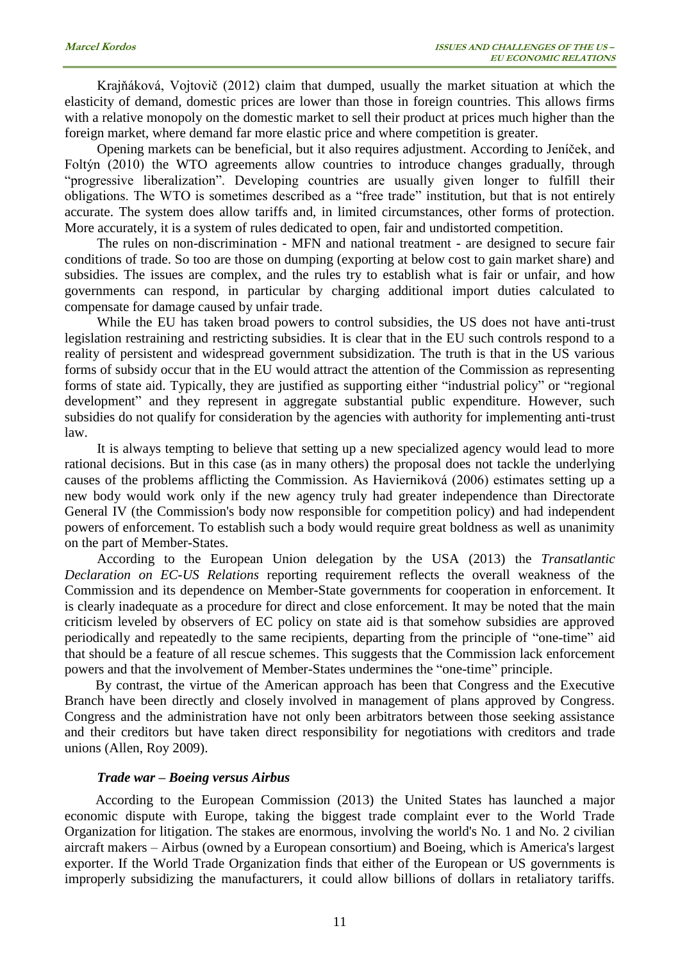Krajňáková, Vojtovič (2012) claim that dumped, usually the market situation at which the elasticity of demand, domestic prices are lower than those in foreign countries. This allows firms with a relative monopoly on the domestic market to sell their product at prices much higher than the foreign market, where demand far more elastic price and where competition is greater.

Opening markets can be beneficial, but it also requires adjustment. According to Jeníček, and Foltýn (2010) the WTO agreements allow countries to introduce changes gradually, through "progressive liberalization". Developing countries are usually given longer to fulfill their obligations. The WTO is sometimes described as a "free trade" institution, but that is not entirely accurate. The system does allow tariffs and, in limited circumstances, other forms of protection. More accurately, it is a system of rules dedicated to open, fair and undistorted competition.

The rules on non-discrimination - MFN and national treatment - are designed to secure fair conditions of trade. So too are those on dumping (exporting at below cost to gain market share) and subsidies. The issues are complex, and the rules try to establish what is fair or unfair, and how governments can respond, in particular by charging additional import duties calculated to compensate for damage caused by unfair trade.

While the EU has taken broad powers to control subsidies, the US does not have anti-trust legislation restraining and restricting subsidies. It is clear that in the EU such controls respond to a reality of persistent and widespread government subsidization. The truth is that in the US various forms of subsidy occur that in the EU would attract the attention of the Commission as representing forms of state aid. Typically, they are justified as supporting either "industrial policy" or "regional development" and they represent in aggregate substantial public expenditure. However, such subsidies do not qualify for consideration by the agencies with authority for implementing anti-trust law.

It is always tempting to believe that setting up a new specialized agency would lead to more rational decisions. But in this case (as in many others) the proposal does not tackle the underlying causes of the problems afflicting the Commission. As Havierniková (2006) estimates setting up a new body would work only if the new agency truly had greater independence than Directorate General IV (the Commission's body now responsible for competition policy) and had independent powers of enforcement. To establish such a body would require great boldness as well as unanimity on the part of Member-States.

According to the European Union delegation by the USA (2013) the *Transatlantic Declaration on EC-US Relations* reporting requirement reflects the overall weakness of the Commission and its dependence on Member-State governments for cooperation in enforcement. It is clearly inadequate as a procedure for direct and close enforcement. It may be noted that the main criticism leveled by observers of EC policy on state aid is that somehow subsidies are approved periodically and repeatedly to the same recipients, departing from the principle of "one-time" aid that should be a feature of all rescue schemes. This suggests that the Commission lack enforcement powers and that the involvement of Member-States undermines the "one-time" principle.

By contrast, the virtue of the American approach has been that Congress and the Executive Branch have been directly and closely involved in management of plans approved by Congress. Congress and the administration have not only been arbitrators between those seeking assistance and their creditors but have taken direct responsibility for negotiations with creditors and trade unions (Allen, Roy 2009).

#### *Trade war – Boeing versus Airbus*

According to the European Commission (2013) the United States has launched a major economic dispute with Europe, taking the biggest trade complaint ever to the World Trade Organization for litigation. The stakes are enormous, involving the world's No. 1 and No. 2 civilian aircraft makers – Airbus (owned by a European consortium) and Boeing, which is America's largest exporter. If the World Trade Organization finds that either of the European or US governments is improperly subsidizing the manufacturers, it could allow billions of dollars in retaliatory tariffs.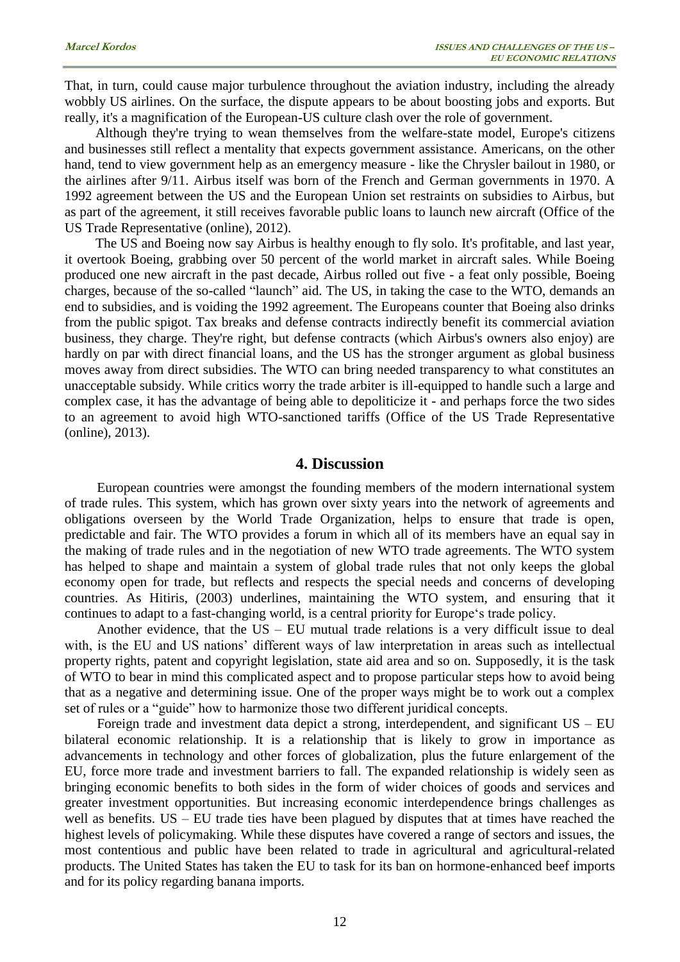That, in turn, could cause major turbulence throughout the aviation industry, including the already wobbly US airlines. On the surface, the dispute appears to be about boosting jobs and exports. But really, it's a magnification of the European-US culture clash over the role of government.

Although they're trying to wean themselves from the welfare-state model, Europe's citizens and businesses still reflect a mentality that expects government assistance. Americans, on the other hand, tend to view government help as an emergency measure - like the Chrysler bailout in 1980, or the airlines after 9/11. Airbus itself was born of the French and German governments in 1970. A 1992 agreement between the US and the European Union set restraints on subsidies to Airbus, but as part of the agreement, it still receives favorable public loans to launch new aircraft (Office of the US Trade Representative (online), 2012).

The US and Boeing now say Airbus is healthy enough to fly solo. It's profitable, and last year, it overtook Boeing, grabbing over 50 percent of the world market in aircraft sales. While Boeing produced one new aircraft in the past decade, Airbus rolled out five - a feat only possible, Boeing charges, because of the so-called "launch" aid. The US, in taking the case to the WTO, demands an end to subsidies, and is voiding the 1992 agreement. The Europeans counter that Boeing also drinks from the public spigot. Tax breaks and defense contracts indirectly benefit its commercial aviation business, they charge. They're right, but defense contracts (which Airbus's owners also enjoy) are hardly on par with direct financial loans, and the US has the stronger argument as global business moves away from direct subsidies. The WTO can bring needed transparency to what constitutes an unacceptable subsidy. While critics worry the trade arbiter is ill-equipped to handle such a large and complex case, it has the advantage of being able to depoliticize it - and perhaps force the two sides to an agreement to avoid high WTO-sanctioned tariffs (Office of the US Trade Representative (online), 2013).

## **4. Discussion**

European countries were amongst the founding members of the modern international system of trade rules. This system, which has grown over sixty years into the network of agreements and obligations overseen by the World Trade Organization, helps to ensure that trade is open, predictable and fair. The WTO provides a forum in which all of its members have an equal say in the making of trade rules and in the negotiation of new WTO trade agreements. The WTO system has helped to shape and maintain a system of global trade rules that not only keeps the global economy open for trade, but reflects and respects the special needs and concerns of developing countries. As Hitiris, (2003) underlines, maintaining the WTO system, and ensuring that it continues to adapt to a fast-changing world, is a central priority for Europe's trade policy.

Another evidence, that the US – EU mutual trade relations is a very difficult issue to deal with, is the EU and US nations' different ways of law interpretation in areas such as intellectual property rights, patent and copyright legislation, state aid area and so on. Supposedly, it is the task of WTO to bear in mind this complicated aspect and to propose particular steps how to avoid being that as a negative and determining issue. One of the proper ways might be to work out a complex set of rules or a "guide" how to harmonize those two different juridical concepts.

Foreign trade and investment data depict a strong, interdependent, and significant US – EU bilateral economic relationship. It is a relationship that is likely to grow in importance as advancements in technology and other forces of globalization, plus the future enlargement of the EU, force more trade and investment barriers to fall. The expanded relationship is widely seen as bringing economic benefits to both sides in the form of wider choices of goods and services and greater investment opportunities. But increasing economic interdependence brings challenges as well as benefits. US – EU trade ties have been plagued by disputes that at times have reached the highest levels of policymaking. While these disputes have covered a range of sectors and issues, the most contentious and public have been related to trade in agricultural and agricultural-related products. The United States has taken the EU to task for its ban on hormone-enhanced beef imports and for its policy regarding banana imports.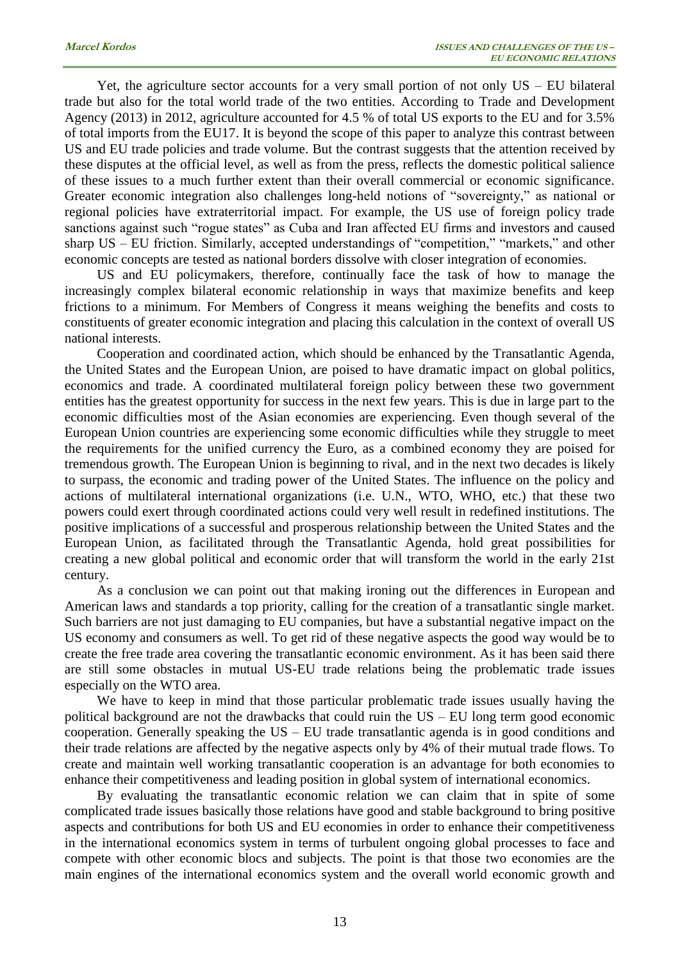Yet, the agriculture sector accounts for a very small portion of not only US – EU bilateral trade but also for the total world trade of the two entities. According to Trade and Development Agency (2013) in 2012, agriculture accounted for 4.5 % of total US exports to the EU and for 3.5% of total imports from the EU17. It is beyond the scope of this paper to analyze this contrast between US and EU trade policies and trade volume. But the contrast suggests that the attention received by these disputes at the official level, as well as from the press, reflects the domestic political salience of these issues to a much further extent than their overall commercial or economic significance. Greater economic integration also challenges long-held notions of "sovereignty," as national or regional policies have extraterritorial impact. For example, the US use of foreign policy trade sanctions against such "rogue states" as Cuba and Iran affected EU firms and investors and caused sharp US – EU friction. Similarly, accepted understandings of "competition," "markets," and other economic concepts are tested as national borders dissolve with closer integration of economies.

US and EU policymakers, therefore, continually face the task of how to manage the increasingly complex bilateral economic relationship in ways that maximize benefits and keep frictions to a minimum. For Members of Congress it means weighing the benefits and costs to constituents of greater economic integration and placing this calculation in the context of overall US national interests.

Cooperation and coordinated action, which should be enhanced by the Transatlantic Agenda, the United States and the European Union, are poised to have dramatic impact on global politics, economics and trade. A coordinated multilateral foreign policy between these two government entities has the greatest opportunity for success in the next few years. This is due in large part to the economic difficulties most of the Asian economies are experiencing. Even though several of the European Union countries are experiencing some economic difficulties while they struggle to meet the requirements for the unified currency the Euro, as a combined economy they are poised for tremendous growth. The European Union is beginning to rival, and in the next two decades is likely to surpass, the economic and trading power of the United States. The influence on the policy and actions of multilateral international organizations (i.e. U.N., WTO, WHO, etc.) that these two powers could exert through coordinated actions could very well result in redefined institutions. The positive implications of a successful and prosperous relationship between the United States and the European Union, as facilitated through the Transatlantic Agenda, hold great possibilities for creating a new global political and economic order that will transform the world in the early 21st century.

As a conclusion we can point out that making ironing out the differences in European and American laws and standards a top priority, calling for the creation of a transatlantic single market. Such barriers are not just damaging to EU companies, but have a substantial negative impact on the US economy and consumers as well. To get rid of these negative aspects the good way would be to create the free trade area covering the transatlantic economic environment. As it has been said there are still some obstacles in mutual US-EU trade relations being the problematic trade issues especially on the WTO area.

We have to keep in mind that those particular problematic trade issues usually having the political background are not the drawbacks that could ruin the US – EU long term good economic cooperation. Generally speaking the US – EU trade transatlantic agenda is in good conditions and their trade relations are affected by the negative aspects only by 4% of their mutual trade flows. To create and maintain well working transatlantic cooperation is an advantage for both economies to enhance their competitiveness and leading position in global system of international economics.

By evaluating the transatlantic economic relation we can claim that in spite of some complicated trade issues basically those relations have good and stable background to bring positive aspects and contributions for both US and EU economies in order to enhance their competitiveness in the international economics system in terms of turbulent ongoing global processes to face and compete with other economic blocs and subjects. The point is that those two economies are the main engines of the international economics system and the overall world economic growth and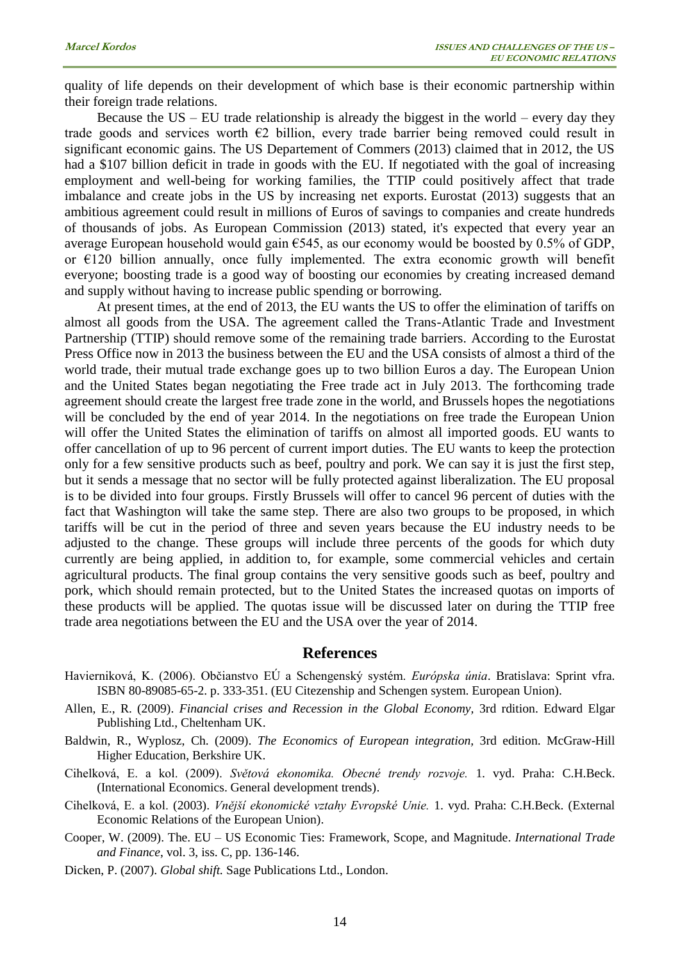quality of life depends on their development of which base is their economic partnership within their foreign trade relations.

Because the  $US - EU$  trade relationship is already the biggest in the world – every day they trade goods and services worth  $\epsilon$ 2 billion, every trade barrier being removed could result in significant economic gains. The US Departement of Commers (2013) claimed that in 2012, the US had a \$107 billion deficit in trade in goods with the EU. If negotiated with the goal of increasing employment and well-being for working families, the TTIP could positively affect that trade imbalance and create jobs in the US by increasing net exports. Eurostat (2013) suggests that an ambitious agreement could result in millions of Euros of savings to companies and create hundreds of thousands of jobs. As European Commission (2013) stated, it's expected that every year an average European household would gain  $\epsilon$ 545, as our economy would be boosted by 0.5% of GDP, or  $\epsilon$ 120 billion annually, once fully implemented. The extra economic growth will benefit everyone; boosting trade is a good way of boosting our economies by creating increased demand and supply without having to increase public spending or borrowing.

At present times, at the end of 2013, the EU wants the US to offer the elimination of tariffs on almost all goods from the USA. The agreement called the Trans-Atlantic Trade and Investment Partnership (TTIP) should remove some of the remaining trade barriers. According to the Eurostat Press Office now in 2013 the business between the EU and the USA consists of almost a third of the world trade, their mutual trade exchange goes up to two billion Euros a day. The European Union and the United States began negotiating the Free trade act in July 2013. The forthcoming trade agreement should create the largest free trade zone in the world, and Brussels hopes the negotiations will be concluded by the end of year 2014. In the negotiations on free trade the European Union will offer the United States the elimination of tariffs on almost all imported goods. EU wants to offer cancellation of up to 96 percent of current import duties. The EU wants to keep the protection only for a few sensitive products such as beef, poultry and pork. We can say it is just the first step, but it sends a message that no sector will be fully protected against liberalization. The EU proposal is to be divided into four groups. Firstly Brussels will offer to cancel 96 percent of duties with the fact that Washington will take the same step. There are also two groups to be proposed, in which tariffs will be cut in the period of three and seven years because the EU industry needs to be adjusted to the change. These groups will include three percents of the goods for which duty currently are being applied, in addition to, for example, some commercial vehicles and certain agricultural products. The final group contains the very sensitive goods such as beef, poultry and pork, which should remain protected, but to the United States the increased quotas on imports of these products will be applied. The quotas issue will be discussed later on during the TTIP free trade area negotiations between the EU and the USA over the year of 2014.

#### **References**

- Havierniková, K. (2006). Občianstvo EÚ a Schengenský systém. *Európska únia*. Bratislava: Sprint vfra. ISBN 80-89085-65-2. p. 333-351. (EU Citezenship and Schengen system. European Union).
- Allen, E., R. (2009). *Financial crises and Recession in the Global Economy,* 3rd rdition. Edward Elgar Publishing Ltd., Cheltenham UK.
- Baldwin, R., Wyplosz, Ch. (2009). *The Economics of European integration,* 3rd edition. McGraw-Hill Higher Education, Berkshire UK.
- Cihelková, E. a kol. (2009). *Světová ekonomika. Obecné trendy rozvoje.* 1. vyd. Praha: C.H.Beck. (International Economics. General development trends).
- Cihelková, E. a kol. (2003). *Vnější ekonomické vztahy Evropské Unie.* 1. vyd. Praha: C.H.Beck. (External Economic Relations of the European Union).
- Cooper, W. (2009). The. EU US Economic Ties: Framework, Scope, and Magnitude. *International Trade and Finance*, vol. 3, iss. C, pp. 136-146.
- Dicken, P. (2007). *Global shift.* Sage Publications Ltd., London.